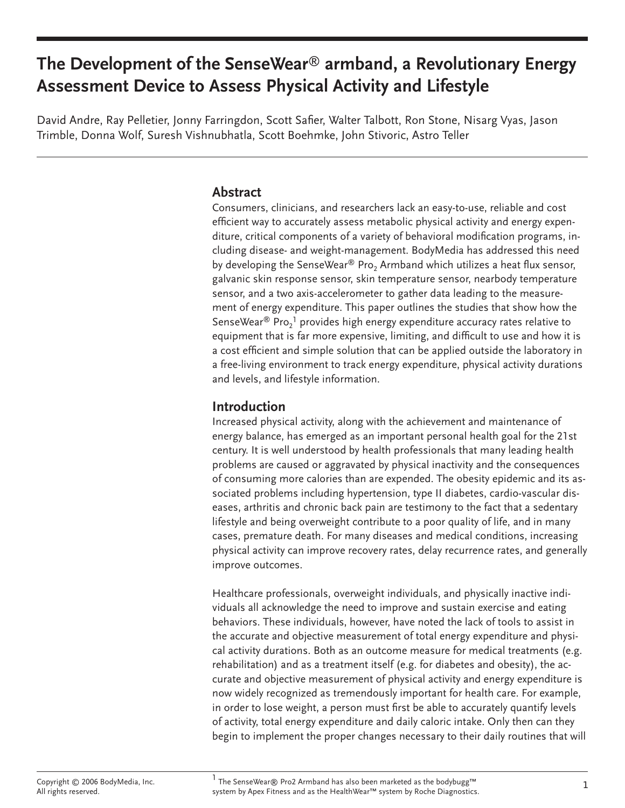# **The Development of the SenseWear**® **armband, a Revolutionary Energy Assessment Device to Assess Physical Activity and Lifestyle**

David Andre, Ray Pelletier, Jonny Farringdon, Scott Safier, Walter Talbott, Ron Stone, Nisarg Vyas, Jason Trimble, Donna Wolf, Suresh Vishnubhatla, Scott Boehmke, John Stivoric, Astro Teller

#### **Abstract**

Consumers, clinicians, and researchers lack an easy-to-use, reliable and cost efficient way to accurately assess metabolic physical activity and energy expenditure, critical components of a variety of behavioral modification programs, including disease- and weight-management. BodyMedia has addressed this need by developing the SenseWear® Pro<sub>2</sub> Armband which utilizes a heat flux sensor, galvanic skin response sensor, skin temperature sensor, nearbody temperature sensor, and a two axis-accelerometer to gather data leading to the measurement of energy expenditure. This paper outlines the studies that show how the SenseWear ${}^{\circledR}$  Pro $_2{}^1$  provides high energy expenditure accuracy rates relative to equipment that is far more expensive, limiting, and difficult to use and how it is a cost efficient and simple solution that can be applied outside the laboratory in a free-living environment to track energy expenditure, physical activity durations and levels, and lifestyle information.

# **Introduction**

Increased physical activity, along with the achievement and maintenance of energy balance, has emerged as an important personal health goal for the 21st century. It is well understood by health professionals that many leading health problems are caused or aggravated by physical inactivity and the consequences of consuming more calories than are expended. The obesity epidemic and its associated problems including hypertension, type II diabetes, cardio-vascular diseases, arthritis and chronic back pain are testimony to the fact that a sedentary lifestyle and being overweight contribute to a poor quality of life, and in many cases, premature death. For many diseases and medical conditions, increasing physical activity can improve recovery rates, delay recurrence rates, and generally improve outcomes.

Healthcare professionals, overweight individuals, and physically inactive individuals all acknowledge the need to improve and sustain exercise and eating behaviors. These individuals, however, have noted the lack of tools to assist in the accurate and objective measurement of total energy expenditure and physical activity durations. Both as an outcome measure for medical treatments (e.g. rehabilitation) and as a treatment itself (e.g. for diabetes and obesity), the accurate and objective measurement of physical activity and energy expenditure is now widely recognized as tremendously important for health care. For example, in order to lose weight, a person must first be able to accurately quantify levels of activity, total energy expenditure and daily caloric intake. Only then can they begin to implement the proper changes necessary to their daily routines that will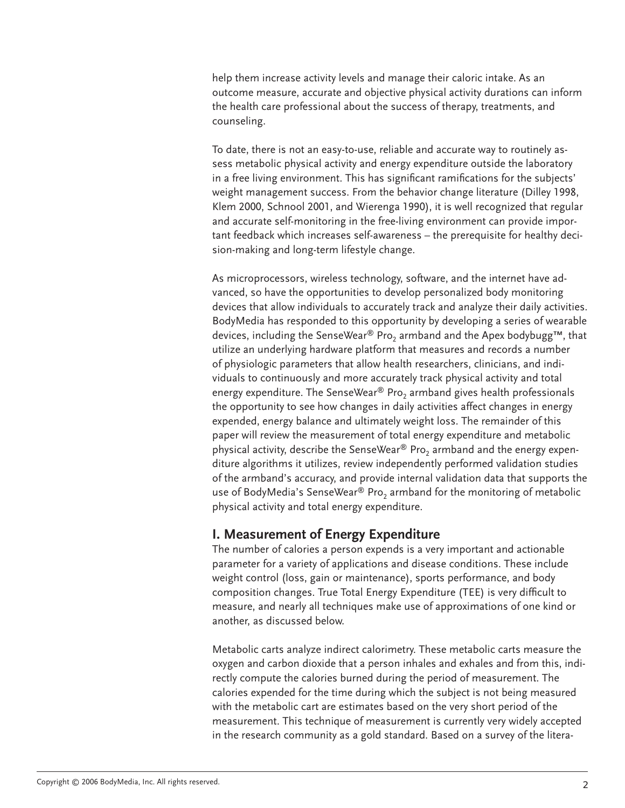help them increase activity levels and manage their caloric intake. As an outcome measure, accurate and objective physical activity durations can inform the health care professional about the success of therapy, treatments, and counseling.

To date, there is not an easy-to-use, reliable and accurate way to routinely assess metabolic physical activity and energy expenditure outside the laboratory in a free living environment. This has significant ramifications for the subjects' weight management success. From the behavior change literature (Dilley 1998, Klem 2000, Schnool 2001, and Wierenga 1990), it is well recognized that regular and accurate self-monitoring in the free-living environment can provide important feedback which increases self-awareness – the prerequisite for healthy decision-making and long-term lifestyle change.

As microprocessors, wireless technology, software, and the internet have advanced, so have the opportunities to develop personalized body monitoring devices that allow individuals to accurately track and analyze their daily activities. BodyMedia has responded to this opportunity by developing a series of wearable devices, including the SenseWear® Pro<sub>2</sub> armband and the Apex bodybugg<sup>™</sup>, that utilize an underlying hardware platform that measures and records a number of physiologic parameters that allow health researchers, clinicians, and individuals to continuously and more accurately track physical activity and total energy expenditure. The SenseWear® Pro<sub>2</sub> armband gives health professionals the opportunity to see how changes in daily activities affect changes in energy expended, energy balance and ultimately weight loss. The remainder of this paper will review the measurement of total energy expenditure and metabolic physical activity, describe the SenseWear® Pro<sub>2</sub> armband and the energy expenditure algorithms it utilizes, review independently performed validation studies of the armband's accuracy, and provide internal validation data that supports the use of BodyMedia's SenseWear® Pro<sub>2</sub> armband for the monitoring of metabolic physical activity and total energy expenditure.

# **I. Measurement of Energy Expenditure**

The number of calories a person expends is a very important and actionable parameter for a variety of applications and disease conditions. These include weight control (loss, gain or maintenance), sports performance, and body composition changes. True Total Energy Expenditure (TEE) is very difficult to measure, and nearly all techniques make use of approximations of one kind or another, as discussed below.

Metabolic carts analyze indirect calorimetry. These metabolic carts measure the oxygen and carbon dioxide that a person inhales and exhales and from this, indirectly compute the calories burned during the period of measurement. The calories expended for the time during which the subject is not being measured with the metabolic cart are estimates based on the very short period of the measurement. This technique of measurement is currently very widely accepted in the research community as a gold standard. Based on a survey of the litera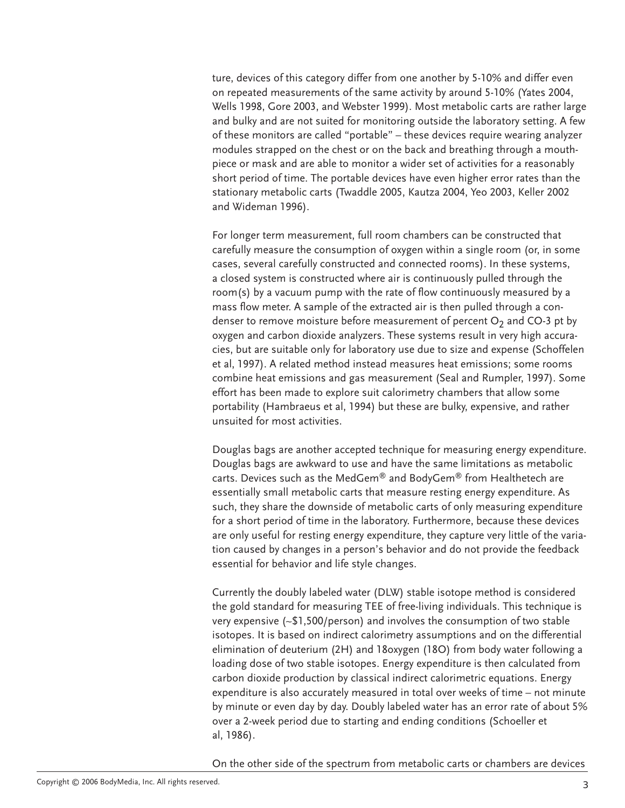ture, devices of this category differ from one another by 5-10% and differ even on repeated measurements of the same activity by around 5-10% (Yates 2004, Wells 1998, Gore 2003, and Webster 1999). Most metabolic carts are rather large and bulky and are not suited for monitoring outside the laboratory setting. A few of these monitors are called "portable" – these devices require wearing analyzer modules strapped on the chest or on the back and breathing through a mouthpiece or mask and are able to monitor a wider set of activities for a reasonably short period of time. The portable devices have even higher error rates than the stationary metabolic carts (Twaddle 2005, Kautza 2004, Yeo 2003, Keller 2002 and Wideman 1996).

For longer term measurement, full room chambers can be constructed that carefully measure the consumption of oxygen within a single room (or, in some cases, several carefully constructed and connected rooms). In these systems, a closed system is constructed where air is continuously pulled through the room(s) by a vacuum pump with the rate of flow continuously measured by a mass flow meter. A sample of the extracted air is then pulled through a condenser to remove moisture before measurement of percent  $O_2$  and CO-3 pt by oxygen and carbon dioxide analyzers. These systems result in very high accuracies, but are suitable only for laboratory use due to size and expense (Schoffelen et al, 1997). A related method instead measures heat emissions; some rooms combine heat emissions and gas measurement (Seal and Rumpler, 1997). Some effort has been made to explore suit calorimetry chambers that allow some portability (Hambraeus et al, 1994) but these are bulky, expensive, and rather unsuited for most activities.

Douglas bags are another accepted technique for measuring energy expenditure. Douglas bags are awkward to use and have the same limitations as metabolic carts. Devices such as the MedGem® and BodyGem® from Healthetech are essentially small metabolic carts that measure resting energy expenditure. As such, they share the downside of metabolic carts of only measuring expenditure for a short period of time in the laboratory. Furthermore, because these devices are only useful for resting energy expenditure, they capture very little of the variation caused by changes in a person's behavior and do not provide the feedback essential for behavior and life style changes.

Currently the doubly labeled water (DLW) stable isotope method is considered the gold standard for measuring TEE of free-living individuals. This technique is very expensive (~\$1,500/person) and involves the consumption of two stable isotopes. It is based on indirect calorimetry assumptions and on the differential elimination of deuterium (2H) and 18oxygen (18O) from body water following a loading dose of two stable isotopes. Energy expenditure is then calculated from carbon dioxide production by classical indirect calorimetric equations. Energy expenditure is also accurately measured in total over weeks of time – not minute by minute or even day by day. Doubly labeled water has an error rate of about 5% over a 2-week period due to starting and ending conditions (Schoeller et al, 1986).

On the other side of the spectrum from metabolic carts or chambers are devices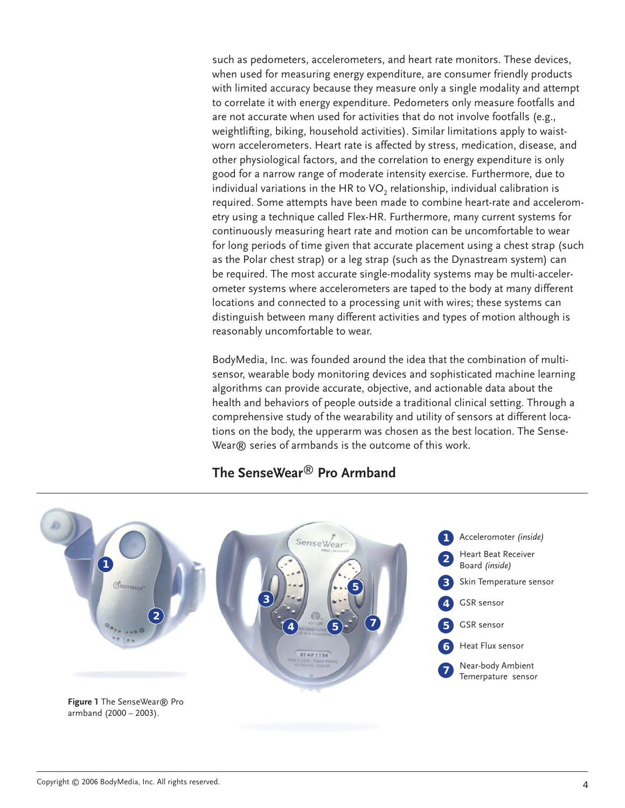such as pedometers, accelerometers, and heart rate monitors. These devices, when used for measuring energy expenditure, are consumer friendly products with limited accuracy because they measure only a single modality and attempt to correlate it with energy expenditure. Pedometers only measure footfalls and are not accurate when used for activities that do not involve footfalls (e.g., weightlifting, biking, household activities). Similar limitations apply to waistworn accelerometers. Heart rate is affected by stress, medication, disease, and other physiological factors, and the correlation to energy expenditure is only good for a narrow range of moderate intensity exercise. Furthermore, due to individual variations in the HR to  $VO<sub>2</sub>$  relationship, individual calibration is required. Some attempts have been made to combine heart-rate and accelerometry using a technique called Flex-HR. Furthermore, many current systems for continuously measuring heart rate and motion can be uncomfortable to wear for long periods of time given that accurate placement using a chest strap (such as the Polar chest strap) or a leg strap (such as the Dynastream system) can be required. The most accurate single-modality systems may be multi-accelerometer systems where accelerometers are taped to the body at many different locations and connected to a processing unit with wires; these systems can distinguish between many different activities and types of motion although is reasonably uncomfortable to wear.

BodyMedia, Inc. was founded around the idea that the combination of multisensor, wearable body monitoring devices and sophisticated machine learning algorithms can provide accurate, objective, and actionable data about the health and behaviors of people outside a traditional clinical setting. Through a comprehensive study of the wearability and utility of sensors at different locations on the body, the upperarm was chosen as the best location. The Sense-Wear® series of armbands is the outcome of this work.



# **The SenseWear**® **Pro Armband**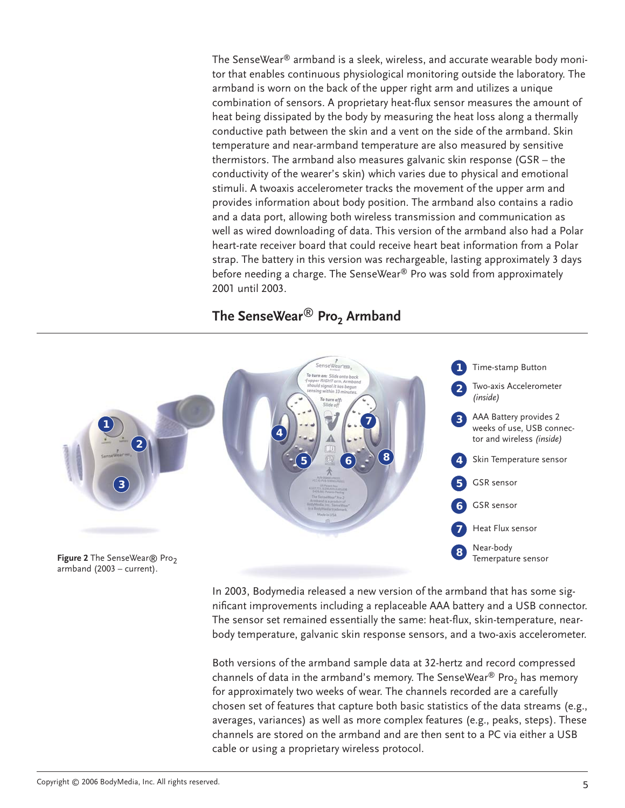The SenseWear® armband is a sleek, wireless, and accurate wearable body monitor that enables continuous physiological monitoring outside the laboratory. The armband is worn on the back of the upper right arm and utilizes a unique combination of sensors. A proprietary heat-flux sensor measures the amount of heat being dissipated by the body by measuring the heat loss along a thermally conductive path between the skin and a vent on the side of the armband. Skin temperature and near-armband temperature are also measured by sensitive thermistors. The armband also measures galvanic skin response (GSR – the conductivity of the wearer's skin) which varies due to physical and emotional stimuli. A twoaxis accelerometer tracks the movement of the upper arm and provides information about body position. The armband also contains a radio and a data port, allowing both wireless transmission and communication as well as wired downloading of data. This version of the armband also had a Polar heart-rate receiver board that could receive heart beat information from a Polar strap. The battery in this version was rechargeable, lasting approximately 3 days before needing a charge. The SenseWear® Pro was sold from approximately 2001 until 2003.

# **The SenseWear**® **Pro2 Armband**



In 2003, Bodymedia released a new version of the armband that has some significant improvements including a replaceable AAA battery and a USB connector. The sensor set remained essentially the same: heat-flux, skin-temperature, nearbody temperature, galvanic skin response sensors, and a two-axis accelerometer.

Both versions of the armband sample data at 32-hertz and record compressed channels of data in the armband's memory. The SenseWear<sup>®</sup> Pro<sub>2</sub> has memory for approximately two weeks of wear. The channels recorded are a carefully chosen set of features that capture both basic statistics of the data streams (e.g., averages, variances) as well as more complex features (e.g., peaks, steps). These channels are stored on the armband and are then sent to a PC via either a USB cable or using a proprietary wireless protocol.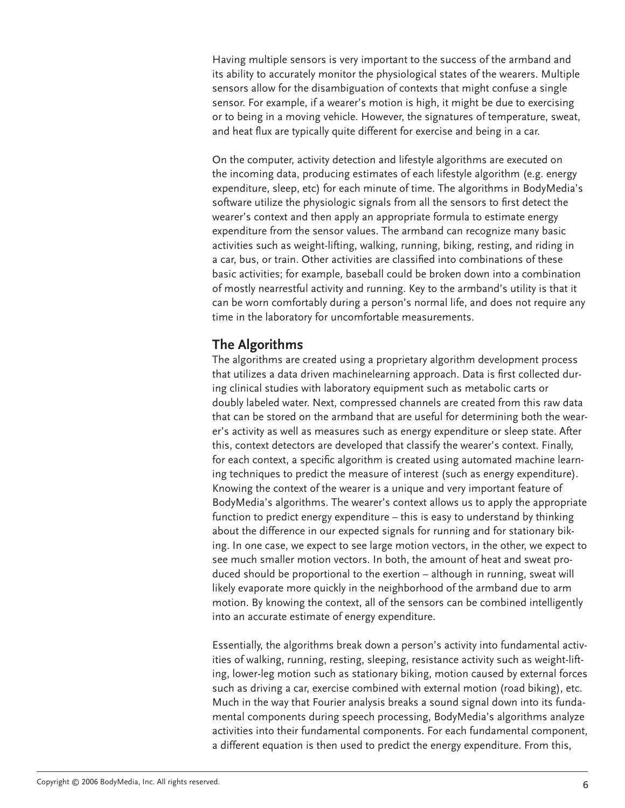Having multiple sensors is very important to the success of the armband and its ability to accurately monitor the physiological states of the wearers. Multiple sensors allow for the disambiguation of contexts that might confuse a single sensor. For example, if a wearer's motion is high, it might be due to exercising or to being in a moving vehicle. However, the signatures of temperature, sweat, and heat flux are typically quite different for exercise and being in a car.

On the computer, activity detection and lifestyle algorithms are executed on the incoming data, producing estimates of each lifestyle algorithm (e.g. energy expenditure, sleep, etc) for each minute of time. The algorithms in BodyMedia's software utilize the physiologic signals from all the sensors to first detect the wearer's context and then apply an appropriate formula to estimate energy expenditure from the sensor values. The armband can recognize many basic activities such as weight-lifting, walking, running, biking, resting, and riding in a car, bus, or train. Other activities are classified into combinations of these basic activities; for example, baseball could be broken down into a combination of mostly nearrestful activity and running. Key to the armband's utility is that it can be worn comfortably during a person's normal life, and does not require any time in the laboratory for uncomfortable measurements.

# **The Algorithms**

The algorithms are created using a proprietary algorithm development process that utilizes a data driven machinelearning approach. Data is first collected during clinical studies with laboratory equipment such as metabolic carts or doubly labeled water. Next, compressed channels are created from this raw data that can be stored on the armband that are useful for determining both the wearer's activity as well as measures such as energy expenditure or sleep state. After this, context detectors are developed that classify the wearer's context. Finally, for each context, a specific algorithm is created using automated machine learning techniques to predict the measure of interest (such as energy expenditure). Knowing the context of the wearer is a unique and very important feature of BodyMedia's algorithms. The wearer's context allows us to apply the appropriate function to predict energy expenditure – this is easy to understand by thinking about the difference in our expected signals for running and for stationary biking. In one case, we expect to see large motion vectors, in the other, we expect to see much smaller motion vectors. In both, the amount of heat and sweat produced should be proportional to the exertion – although in running, sweat will likely evaporate more quickly in the neighborhood of the armband due to arm motion. By knowing the context, all of the sensors can be combined intelligently into an accurate estimate of energy expenditure.

Essentially, the algorithms break down a person's activity into fundamental activities of walking, running, resting, sleeping, resistance activity such as weight-lifting, lower-leg motion such as stationary biking, motion caused by external forces such as driving a car, exercise combined with external motion (road biking), etc. Much in the way that Fourier analysis breaks a sound signal down into its fundamental components during speech processing, BodyMedia's algorithms analyze activities into their fundamental components. For each fundamental component, a different equation is then used to predict the energy expenditure. From this,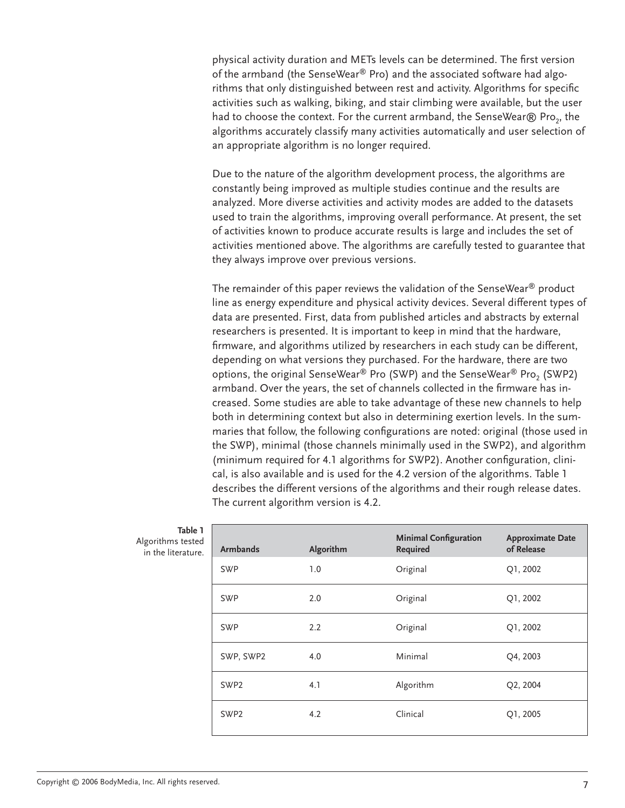physical activity duration and METs levels can be determined. The first version of the armband (the SenseWear® Pro) and the associated software had algorithms that only distinguished between rest and activity. Algorithms for specific activities such as walking, biking, and stair climbing were available, but the user had to choose the context. For the current armband, the SenseWear $\circledR$  Pro<sub>2</sub>, the algorithms accurately classify many activities automatically and user selection of an appropriate algorithm is no longer required.

Due to the nature of the algorithm development process, the algorithms are constantly being improved as multiple studies continue and the results are analyzed. More diverse activities and activity modes are added to the datasets used to train the algorithms, improving overall performance. At present, the set of activities known to produce accurate results is large and includes the set of activities mentioned above. The algorithms are carefully tested to guarantee that they always improve over previous versions.

The remainder of this paper reviews the validation of the SenseWear® product line as energy expenditure and physical activity devices. Several different types of data are presented. First, data from published articles and abstracts by external researchers is presented. It is important to keep in mind that the hardware, firmware, and algorithms utilized by researchers in each study can be different, depending on what versions they purchased. For the hardware, there are two options, the original SenseWear<sup>®</sup> Pro (SWP) and the SenseWear<sup>®</sup> Pro<sub>2</sub> (SWP2) armband. Over the years, the set of channels collected in the firmware has increased. Some studies are able to take advantage of these new channels to help both in determining context but also in determining exertion levels. In the summaries that follow, the following configurations are noted: original (those used in the SWP), minimal (those channels minimally used in the SWP2), and algorithm (minimum required for 4.1 algorithms for SWP2). Another configuration, clinical, is also available and is used for the 4.2 version of the algorithms. Table 1 describes the different versions of the algorithms and their rough release dates. The current algorithm version is 4.2.

| Table 1<br>าร tested<br>terature. | <b>Armbands</b>  | Algorithm | <b>Minimal Configuration</b><br>Required | <b>Approximate Date</b><br>of Release |
|-----------------------------------|------------------|-----------|------------------------------------------|---------------------------------------|
|                                   | <b>SWP</b>       | 1.0       | Original                                 | Q1, 2002                              |
|                                   | <b>SWP</b>       | 2.0       | Original                                 | Q1, 2002                              |
|                                   | <b>SWP</b>       | 2.2       | Original                                 | Q1, 2002                              |
|                                   | SWP, SWP2        | 4.0       | Minimal                                  | Q4, 2003                              |
|                                   | SWP <sub>2</sub> | 4.1       | Algorithm                                | Q2, 2004                              |
|                                   | SWP <sub>2</sub> | 4.2       | Clinical                                 | Q1, 2005                              |

| .                  |
|--------------------|
| Algorithms tested  |
| in the literature. |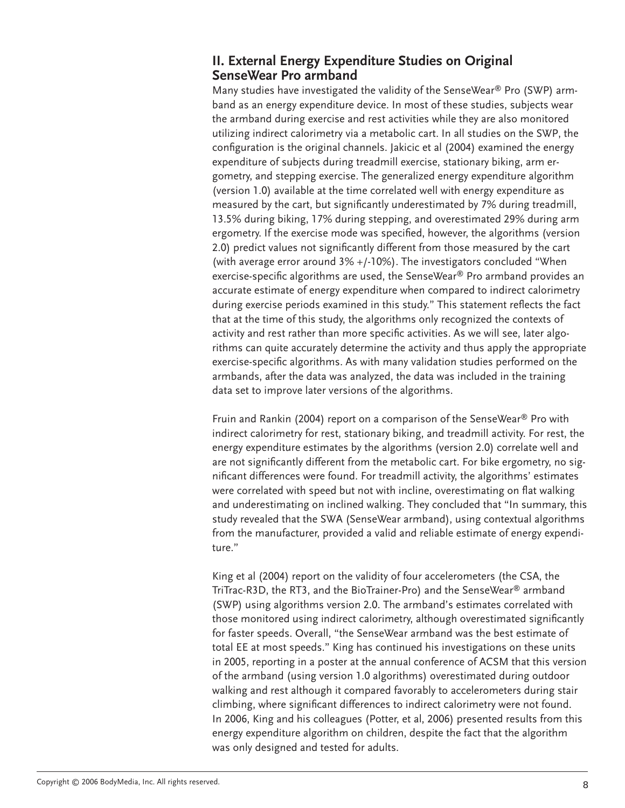#### **II. External Energy Expenditure Studies on Original SenseWear Pro armband**

Many studies have investigated the validity of the SenseWear® Pro (SWP) armband as an energy expenditure device. In most of these studies, subjects wear the armband during exercise and rest activities while they are also monitored utilizing indirect calorimetry via a metabolic cart. In all studies on the SWP, the configuration is the original channels. Jakicic et al (2004) examined the energy expenditure of subjects during treadmill exercise, stationary biking, arm ergometry, and stepping exercise. The generalized energy expenditure algorithm (version 1.0) available at the time correlated well with energy expenditure as measured by the cart, but significantly underestimated by 7% during treadmill, 13.5% during biking, 17% during stepping, and overestimated 29% during arm ergometry. If the exercise mode was specified, however, the algorithms (version 2.0) predict values not significantly different from those measured by the cart (with average error around 3% +/-10%). The investigators concluded "When exercise-specific algorithms are used, the SenseWear® Pro armband provides an accurate estimate of energy expenditure when compared to indirect calorimetry during exercise periods examined in this study." This statement reflects the fact that at the time of this study, the algorithms only recognized the contexts of activity and rest rather than more specific activities. As we will see, later algorithms can quite accurately determine the activity and thus apply the appropriate exercise-specific algorithms. As with many validation studies performed on the armbands, after the data was analyzed, the data was included in the training data set to improve later versions of the algorithms.

Fruin and Rankin (2004) report on a comparison of the SenseWear® Pro with indirect calorimetry for rest, stationary biking, and treadmill activity. For rest, the energy expenditure estimates by the algorithms (version 2.0) correlate well and are not significantly different from the metabolic cart. For bike ergometry, no significant differences were found. For treadmill activity, the algorithms' estimates were correlated with speed but not with incline, overestimating on flat walking and underestimating on inclined walking. They concluded that "In summary, this study revealed that the SWA (SenseWear armband), using contextual algorithms from the manufacturer, provided a valid and reliable estimate of energy expenditure."

King et al (2004) report on the validity of four accelerometers (the CSA, the TriTrac-R3D, the RT3, and the BioTrainer-Pro) and the SenseWear® armband (SWP) using algorithms version 2.0. The armband's estimates correlated with those monitored using indirect calorimetry, although overestimated significantly for faster speeds. Overall, "the SenseWear armband was the best estimate of total EE at most speeds." King has continued his investigations on these units in 2005, reporting in a poster at the annual conference of ACSM that this version of the armband (using version 1.0 algorithms) overestimated during outdoor walking and rest although it compared favorably to accelerometers during stair climbing, where significant differences to indirect calorimetry were not found. In 2006, King and his colleagues (Potter, et al, 2006) presented results from this energy expenditure algorithm on children, despite the fact that the algorithm was only designed and tested for adults.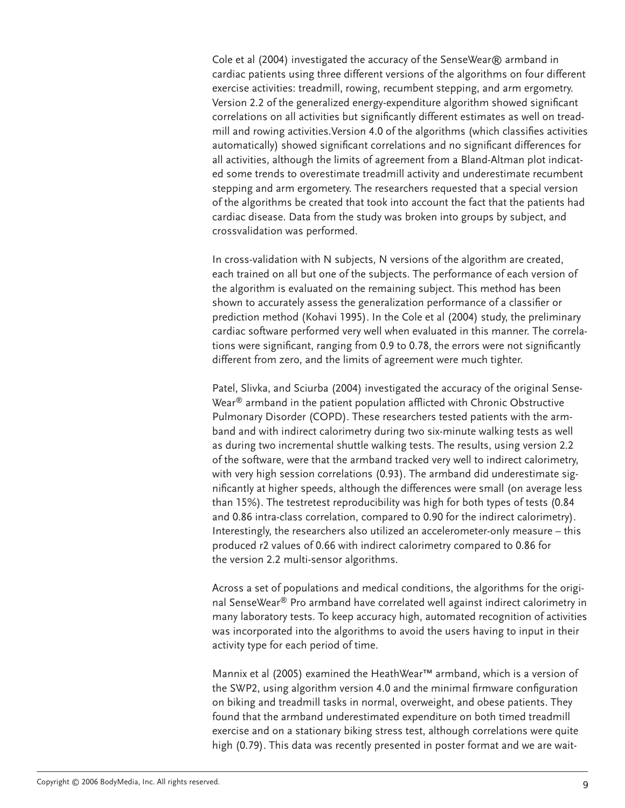Cole et al (2004) investigated the accuracy of the SenseWear® armband in cardiac patients using three different versions of the algorithms on four different exercise activities: treadmill, rowing, recumbent stepping, and arm ergometry. Version 2.2 of the generalized energy-expenditure algorithm showed significant correlations on all activities but significantly different estimates as well on treadmill and rowing activities. Version 4.0 of the algorithms (which classifies activities automatically) showed significant correlations and no significant differences for all activities, although the limits of agreement from a Bland-Altman plot indicated some trends to overestimate treadmill activity and underestimate recumbent stepping and arm ergometery. The researchers requested that a special version of the algorithms be created that took into account the fact that the patients had cardiac disease. Data from the study was broken into groups by subject, and crossvalidation was performed.

In cross-validation with N subjects, N versions of the algorithm are created, each trained on all but one of the subjects. The performance of each version of the algorithm is evaluated on the remaining subject. This method has been shown to accurately assess the generalization performance of a classifier or prediction method (Kohavi 1995). In the Cole et al (2004) study, the preliminary cardiac software performed very well when evaluated in this manner. The correlations were significant, ranging from 0.9 to 0.78, the errors were not significantly different from zero, and the limits of agreement were much tighter.

Patel, Slivka, and Sciurba (2004) investigated the accuracy of the original Sense-Wear $<sup>®</sup>$  armband in the patient population afflicted with Chronic Obstructive</sup> Pulmonary Disorder (COPD). These researchers tested patients with the armband and with indirect calorimetry during two six-minute walking tests as well as during two incremental shuttle walking tests. The results, using version 2.2 of the software, were that the armband tracked very well to indirect calorimetry, with very high session correlations (0.93). The armband did underestimate significantly at higher speeds, although the differences were small (on average less than 15%). The testretest reproducibility was high for both types of tests (0.84 and 0.86 intra-class correlation, compared to 0.90 for the indirect calorimetry). Interestingly, the researchers also utilized an accelerometer-only measure – this produced r2 values of 0.66 with indirect calorimetry compared to 0.86 for the version 2.2 multi-sensor algorithms.

Across a set of populations and medical conditions, the algorithms for the original SenseWear® Pro armband have correlated well against indirect calorimetry in many laboratory tests. To keep accuracy high, automated recognition of activities was incorporated into the algorithms to avoid the users having to input in their activity type for each period of time.

Mannix et al (2005) examined the HeathWear™ armband, which is a version of the SWP2, using algorithm version 4.0 and the minimal firmware configuration on biking and treadmill tasks in normal, overweight, and obese patients. They found that the armband underestimated expenditure on both timed treadmill exercise and on a stationary biking stress test, although correlations were quite high (0.79). This data was recently presented in poster format and we are wait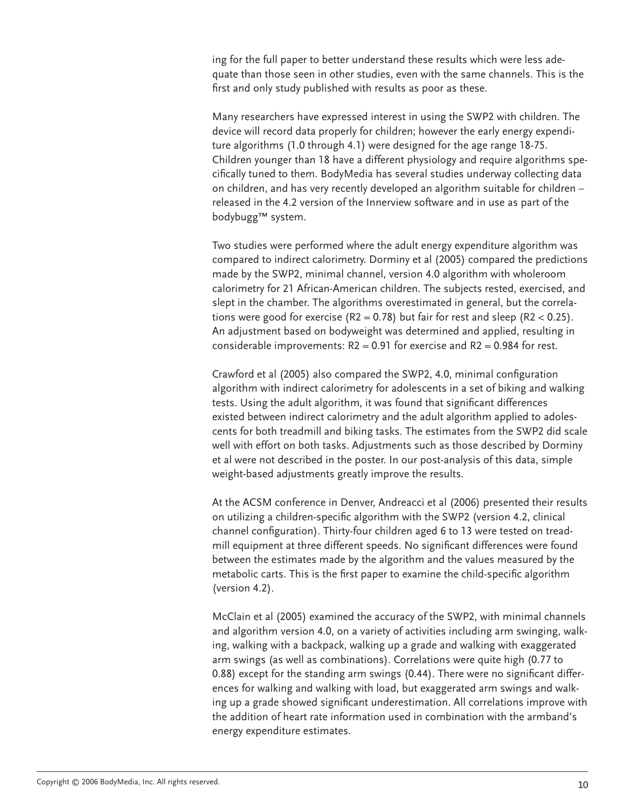ing for the full paper to better understand these results which were less adequate than those seen in other studies, even with the same channels. This is the first and only study published with results as poor as these.

Many researchers have expressed interest in using the SWP2 with children. The device will record data properly for children; however the early energy expenditure algorithms (1.0 through 4.1) were designed for the age range 18-75. Children younger than 18 have a different physiology and require algorithms specifically tuned to them. BodyMedia has several studies underway collecting data on children, and has very recently developed an algorithm suitable for children – released in the 4.2 version of the Innerview software and in use as part of the bodybugg™ system.

Two studies were performed where the adult energy expenditure algorithm was compared to indirect calorimetry. Dorminy et al (2005) compared the predictions made by the SWP2, minimal channel, version 4.0 algorithm with wholeroom calorimetry for 21 African-American children. The subjects rested, exercised, and slept in the chamber. The algorithms overestimated in general, but the correlations were good for exercise  $(R2 = 0.78)$  but fair for rest and sleep  $(R2 < 0.25)$ . An adjustment based on bodyweight was determined and applied, resulting in considerable improvements:  $R2 = 0.91$  for exercise and  $R2 = 0.984$  for rest.

Crawford et al (2005) also compared the SWP2, 4.0, minimal configuration algorithm with indirect calorimetry for adolescents in a set of biking and walking tests. Using the adult algorithm, it was found that significant differences existed between indirect calorimetry and the adult algorithm applied to adolescents for both treadmill and biking tasks. The estimates from the SWP2 did scale well with effort on both tasks. Adjustments such as those described by Dorminy et al were not described in the poster. In our post-analysis of this data, simple weight-based adjustments greatly improve the results.

At the ACSM conference in Denver, Andreacci et al (2006) presented their results on utilizing a children-specific algorithm with the SWP2 (version 4.2, clinical channel configuration). Thirty-four children aged 6 to 13 were tested on treadmill equipment at three different speeds. No significant differences were found between the estimates made by the algorithm and the values measured by the metabolic carts. This is the first paper to examine the child-specific algorithm (version 4.2).

McClain et al (2005) examined the accuracy of the SWP2, with minimal channels and algorithm version 4.0, on a variety of activities including arm swinging, walking, walking with a backpack, walking up a grade and walking with exaggerated arm swings (as well as combinations). Correlations were quite high (0.77 to 0.88) except for the standing arm swings (0.44). There were no significant differences for walking and walking with load, but exaggerated arm swings and walking up a grade showed significant underestimation. All correlations improve with the addition of heart rate information used in combination with the armband's energy expenditure estimates.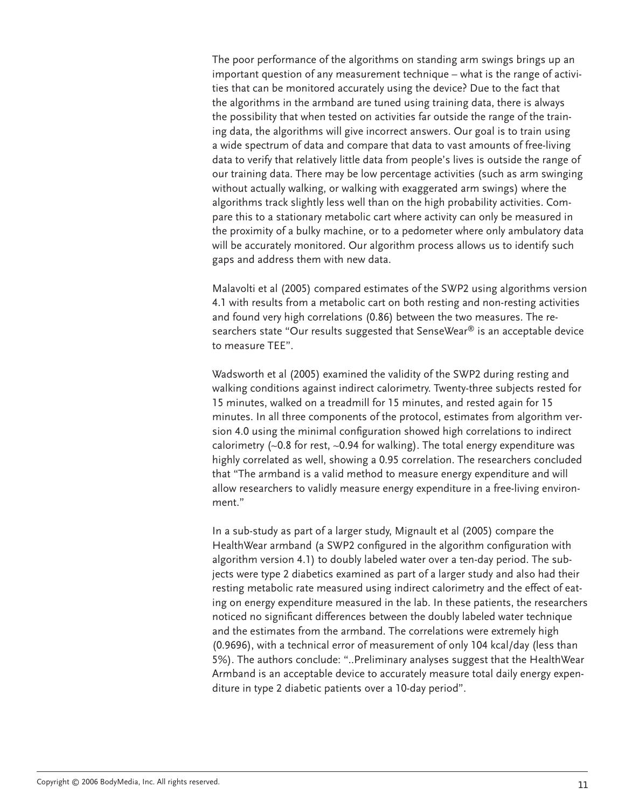The poor performance of the algorithms on standing arm swings brings up an important question of any measurement technique – what is the range of activities that can be monitored accurately using the device? Due to the fact that the algorithms in the armband are tuned using training data, there is always the possibility that when tested on activities far outside the range of the training data, the algorithms will give incorrect answers. Our goal is to train using a wide spectrum of data and compare that data to vast amounts of free-living data to verify that relatively little data from people's lives is outside the range of our training data. There may be low percentage activities (such as arm swinging without actually walking, or walking with exaggerated arm swings) where the algorithms track slightly less well than on the high probability activities. Compare this to a stationary metabolic cart where activity can only be measured in the proximity of a bulky machine, or to a pedometer where only ambulatory data will be accurately monitored. Our algorithm process allows us to identify such gaps and address them with new data.

Malavolti et al (2005) compared estimates of the SWP2 using algorithms version 4.1 with results from a metabolic cart on both resting and non-resting activities and found very high correlations (0.86) between the two measures. The researchers state "Our results suggested that SenseWear® is an acceptable device to measure TEE".

Wadsworth et al (2005) examined the validity of the SWP2 during resting and walking conditions against indirect calorimetry. Twenty-three subjects rested for 15 minutes, walked on a treadmill for 15 minutes, and rested again for 15 minutes. In all three components of the protocol, estimates from algorithm version 4.0 using the minimal configuration showed high correlations to indirect calorimetry (~0.8 for rest, ~0.94 for walking). The total energy expenditure was highly correlated as well, showing a 0.95 correlation. The researchers concluded that "The armband is a valid method to measure energy expenditure and will allow researchers to validly measure energy expenditure in a free-living environment."

In a sub-study as part of a larger study, Mignault et al (2005) compare the HealthWear armband (a SWP2 configured in the algorithm configuration with algorithm version 4.1) to doubly labeled water over a ten-day period. The subjects were type 2 diabetics examined as part of a larger study and also had their resting metabolic rate measured using indirect calorimetry and the effect of eating on energy expenditure measured in the lab. In these patients, the researchers noticed no significant differences between the doubly labeled water technique and the estimates from the armband. The correlations were extremely high (0.9696), with a technical error of measurement of only 104 kcal/day (less than 5%). The authors conclude: "..Preliminary analyses suggest that the HealthWear Armband is an acceptable device to accurately measure total daily energy expenditure in type 2 diabetic patients over a 10-day period".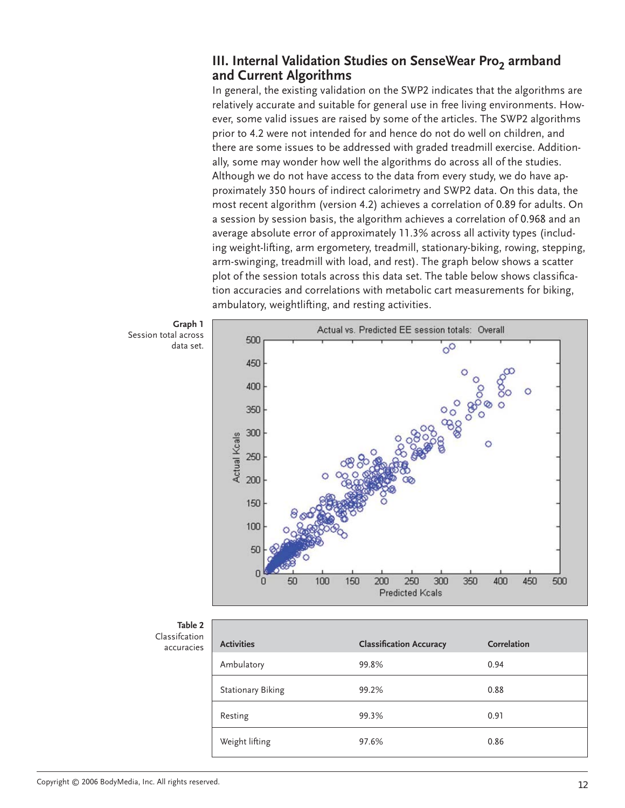#### **III. Internal Validation Studies on SenseWear Pro<sub>2</sub> armband and Current Algorithms**

In general, the existing validation on the SWP2 indicates that the algorithms are relatively accurate and suitable for general use in free living environments. However, some valid issues are raised by some of the articles. The SWP2 algorithms prior to 4.2 were not intended for and hence do not do well on children, and there are some issues to be addressed with graded treadmill exercise. Additionally, some may wonder how well the algorithms do across all of the studies. Although we do not have access to the data from every study, we do have approximately 350 hours of indirect calorimetry and SWP2 data. On this data, the most recent algorithm (version 4.2) achieves a correlation of 0.89 for adults. On a session by session basis, the algorithm achieves a correlation of 0.968 and an average absolute error of approximately 11.3% across all activity types (including weight-lifting, arm ergometery, treadmill, stationary-biking, rowing, stepping, arm-swinging, treadmill with load, and rest). The graph below shows a scatter plot of the session totals across this data set. The table below shows classification accuracies and correlations with metabolic cart measurements for biking, ambulatory, weightlifting, and resting activities.



**Table 2** Classifcation accuracies

| <b>Activities</b>        | <b>Classification Accuracy</b> | Correlation |
|--------------------------|--------------------------------|-------------|
| Ambulatory               | 99.8%                          | 0.94        |
| <b>Stationary Biking</b> | 99.2%                          | 0.88        |
| Resting                  | 99.3%                          | 0.91        |
| Weight lifting           | 97.6%                          | 0.86        |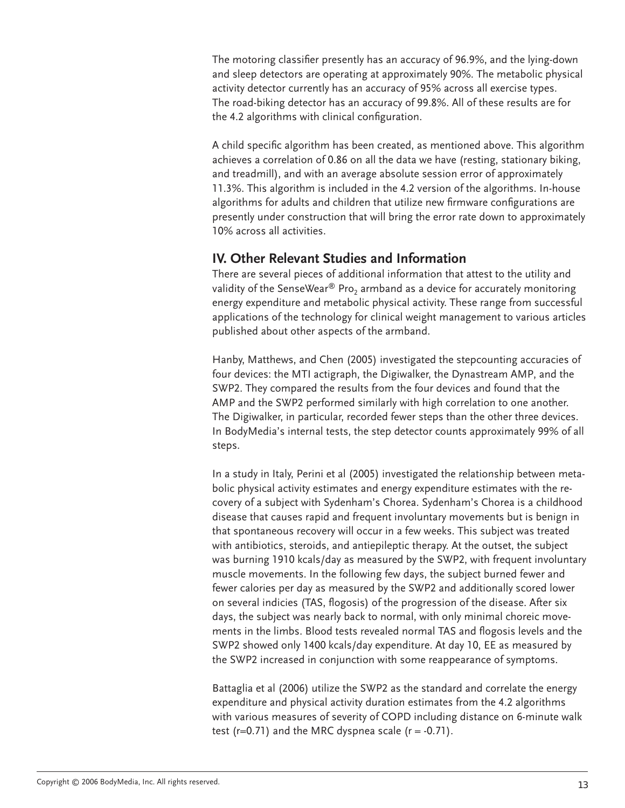The motoring classifier presently has an accuracy of 96.9%, and the lying-down and sleep detectors are operating at approximately 90%. The metabolic physical activity detector currently has an accuracy of 95% across all exercise types. The road-biking detector has an accuracy of 99.8%. All of these results are for the 4.2 algorithms with clinical configuration.

A child specific algorithm has been created, as mentioned above. This algorithm achieves a correlation of 0.86 on all the data we have (resting, stationary biking, and treadmill), and with an average absolute session error of approximately 11.3%. This algorithm is included in the 4.2 version of the algorithms. In-house algorithms for adults and children that utilize new firmware configurations are presently under construction that will bring the error rate down to approximately 10% across all activities.

#### **IV. Other Relevant Studies and Information**

There are several pieces of additional information that attest to the utility and validity of the SenseWear<sup>®</sup> Pro<sub>2</sub> armband as a device for accurately monitoring energy expenditure and metabolic physical activity. These range from successful applications of the technology for clinical weight management to various articles published about other aspects of the armband.

Hanby, Matthews, and Chen (2005) investigated the stepcounting accuracies of four devices: the MTI actigraph, the Digiwalker, the Dynastream AMP, and the SWP2. They compared the results from the four devices and found that the AMP and the SWP2 performed similarly with high correlation to one another. The Digiwalker, in particular, recorded fewer steps than the other three devices. In BodyMedia's internal tests, the step detector counts approximately 99% of all steps.

In a study in Italy, Perini et al (2005) investigated the relationship between metabolic physical activity estimates and energy expenditure estimates with the recovery of a subject with Sydenham's Chorea. Sydenham's Chorea is a childhood disease that causes rapid and frequent involuntary movements but is benign in that spontaneous recovery will occur in a few weeks. This subject was treated with antibiotics, steroids, and antiepileptic therapy. At the outset, the subject was burning 1910 kcals/day as measured by the SWP2, with frequent involuntary muscle movements. In the following few days, the subject burned fewer and fewer calories per day as measured by the SWP2 and additionally scored lower on several indicies (TAS, flogosis) of the progression of the disease. After six days, the subject was nearly back to normal, with only minimal choreic movements in the limbs. Blood tests revealed normal TAS and flogosis levels and the SWP2 showed only 1400 kcals/day expenditure. At day 10, EE as measured by the SWP2 increased in conjunction with some reappearance of symptoms.

Battaglia et al (2006) utilize the SWP2 as the standard and correlate the energy expenditure and physical activity duration estimates from the 4.2 algorithms with various measures of severity of COPD including distance on 6-minute walk test ( $r=0.71$ ) and the MRC dyspnea scale ( $r = -0.71$ ).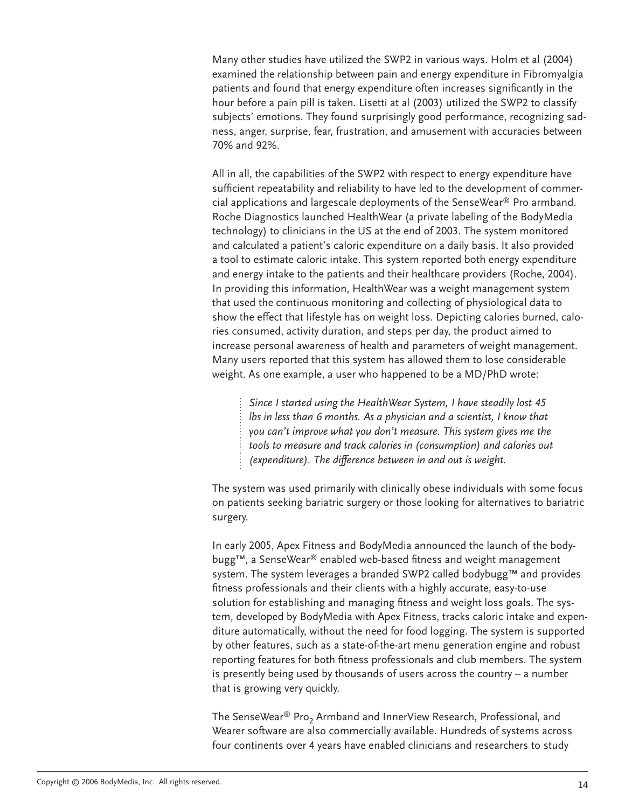Many other studies have utilized the SWP2 in various ways. Holm et al (2004) examined the relationship between pain and energy expenditure in Fibromyalgia patients and found that energy expenditure often increases significantly in the hour before a pain pill is taken. Lisetti at al (2003) utilized the SWP2 to classify subjects' emotions. They found surprisingly good performance, recognizing sadness, anger, surprise, fear, frustration, and amusement with accuracies between 70% and 92%.

All in all, the capabilities of the SWP2 with respect to energy expenditure have sufficient repeatability and reliability to have led to the development of commercial applications and largescale deployments of the SenseWear® Pro armband. Roche Diagnostics launched HealthWear (a private labeling of the BodyMedia technology) to clinicians in the US at the end of 2003. The system monitored and calculated a patient's caloric expenditure on a daily basis. It also provided a tool to estimate caloric intake. This system reported both energy expenditure and energy intake to the patients and their healthcare providers (Roche, 2004). In providing this information, HealthWear was a weight management system that used the continuous monitoring and collecting of physiological data to show the effect that lifestyle has on weight loss. Depicting calories burned, calories consumed, activity duration, and steps per day, the product aimed to increase personal awareness of health and parameters of weight management. Many users reported that this system has allowed them to lose considerable weight. As one example, a user who happened to be a MD/PhD wrote:

*Since I started using the HealthWear System, I have steadily lost 45 lbs in less than 6 months. As a physician and a scientist, I know that you can't improve what you don't measure. This system gives me the tools to measure and track calories in (consumption) and calories out (expenditure). The difference between in and out is weight.*

The system was used primarily with clinically obese individuals with some focus on patients seeking bariatric surgery or those looking for alternatives to bariatric surgery.

In early 2005, Apex Fitness and BodyMedia announced the launch of the bodybugg™, a SenseWear® enabled web-based fitness and weight management system. The system leverages a branded SWP2 called bodybugg™ and provides fitness professionals and their clients with a highly accurate, easy-to-use solution for establishing and managing fitness and weight loss goals. The system, developed by BodyMedia with Apex Fitness, tracks caloric intake and expenditure automatically, without the need for food logging. The system is supported by other features, such as a state-of-the-art menu generation engine and robust reporting features for both fitness professionals and club members. The system is presently being used by thousands of users across the country – a number that is growing very quickly.

The SenseWear<sup>®</sup> Pro<sub>2</sub> Armband and InnerView Research, Professional, and Wearer software are also commercially available. Hundreds of systems across four continents over 4 years have enabled clinicians and researchers to study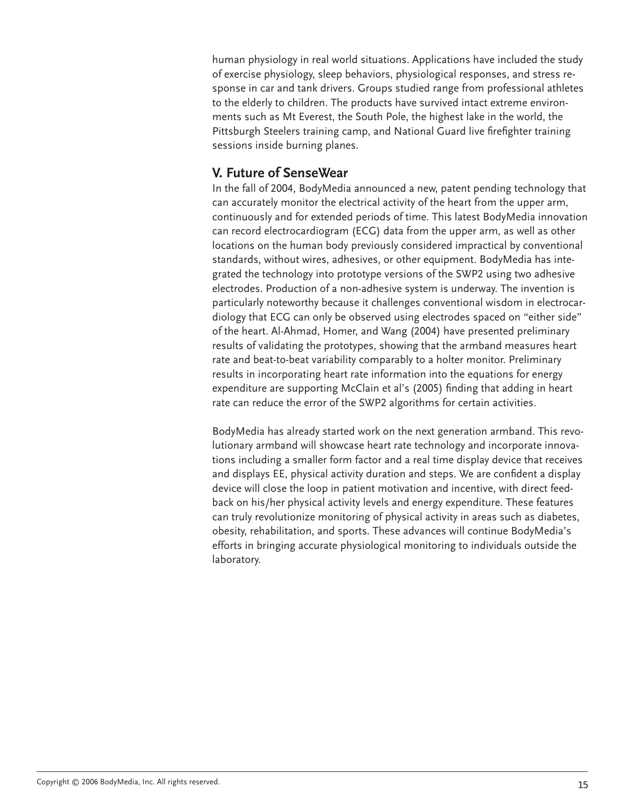human physiology in real world situations. Applications have included the study of exercise physiology, sleep behaviors, physiological responses, and stress response in car and tank drivers. Groups studied range from professional athletes to the elderly to children. The products have survived intact extreme environments such as Mt Everest, the South Pole, the highest lake in the world, the Pittsburgh Steelers training camp, and National Guard live firefighter training sessions inside burning planes.

#### **V. Future of SenseWear**

In the fall of 2004, BodyMedia announced a new, patent pending technology that can accurately monitor the electrical activity of the heart from the upper arm, continuously and for extended periods of time. This latest BodyMedia innovation can record electrocardiogram (ECG) data from the upper arm, as well as other locations on the human body previously considered impractical by conventional standards, without wires, adhesives, or other equipment. BodyMedia has integrated the technology into prototype versions of the SWP2 using two adhesive electrodes. Production of a non-adhesive system is underway. The invention is particularly noteworthy because it challenges conventional wisdom in electrocardiology that ECG can only be observed using electrodes spaced on "either side" of the heart. Al-Ahmad, Homer, and Wang (2004) have presented preliminary results of validating the prototypes, showing that the armband measures heart rate and beat-to-beat variability comparably to a holter monitor. Preliminary results in incorporating heart rate information into the equations for energy expenditure are supporting McClain et al's (2005) finding that adding in heart rate can reduce the error of the SWP2 algorithms for certain activities.

BodyMedia has already started work on the next generation armband. This revolutionary armband will showcase heart rate technology and incorporate innovations including a smaller form factor and a real time display device that receives and displays EE, physical activity duration and steps. We are confident a display device will close the loop in patient motivation and incentive, with direct feedback on his/her physical activity levels and energy expenditure. These features can truly revolutionize monitoring of physical activity in areas such as diabetes, obesity, rehabilitation, and sports. These advances will continue BodyMedia's efforts in bringing accurate physiological monitoring to individuals outside the laboratory.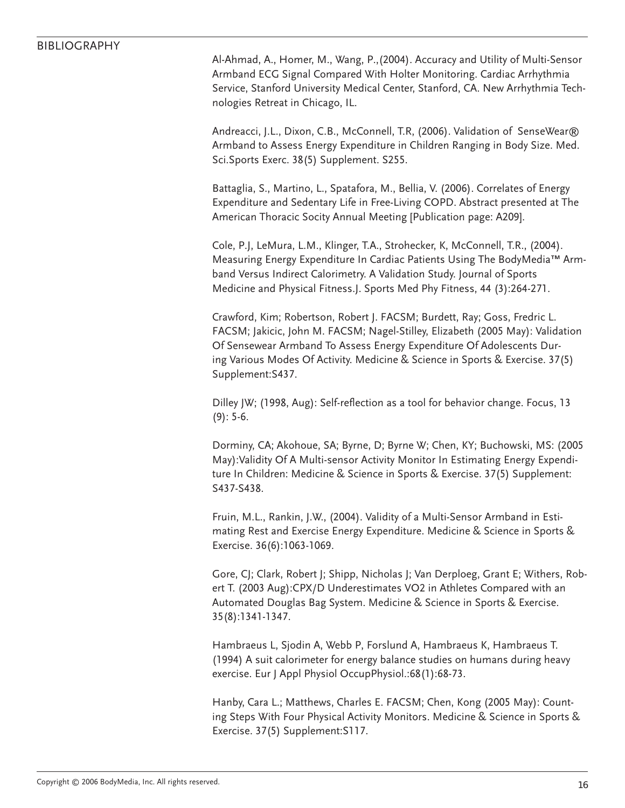#### BIBLIOGRAPHY

Al-Ahmad, A., Homer, M., Wang, P.,(2004). Accuracy and Utility of Multi-Sensor Armband ECG Signal Compared With Holter Monitoring. Cardiac Arrhythmia Service, Stanford University Medical Center, Stanford, CA. New Arrhythmia Technologies Retreat in Chicago, IL.

Andreacci, J.L., Dixon, C.B., McConnell, T.R, (2006). Validation of SenseWear® Armband to Assess Energy Expenditure in Children Ranging in Body Size. Med. Sci.Sports Exerc. 38(5) Supplement. S255.

Battaglia, S., Martino, L., Spatafora, M., Bellia, V. (2006). Correlates of Energy Expenditure and Sedentary Life in Free-Living COPD. Abstract presented at The American Thoracic Socity Annual Meeting [Publication page: A209].

Cole, P.J, LeMura, L.M., Klinger, T.A., Strohecker, K, McConnell, T.R., (2004). Measuring Energy Expenditure In Cardiac Patients Using The BodyMedia™ Armband Versus Indirect Calorimetry. A Validation Study. Journal of Sports Medicine and Physical Fitness.J. Sports Med Phy Fitness, 44 (3):264-271.

Crawford, Kim; Robertson, Robert J. FACSM; Burdett, Ray; Goss, Fredric L. FACSM; Jakicic, John M. FACSM; Nagel-Stilley, Elizabeth (2005 May): Validation Of Sensewear Armband To Assess Energy Expenditure Of Adolescents During Various Modes Of Activity. Medicine & Science in Sports & Exercise. 37(5) Supplement:S437.

Dilley JW; (1998, Aug): Self-reflection as a tool for behavior change. Focus, 13 (9): 5-6.

Dorminy, CA; Akohoue, SA; Byrne, D; Byrne W; Chen, KY; Buchowski, MS: (2005 May):Validity Of A Multi-sensor Activity Monitor In Estimating Energy Expenditure In Children: Medicine & Science in Sports & Exercise. 37(5) Supplement: S437-S438.

Fruin, M.L., Rankin, J.W., (2004). Validity of a Multi-Sensor Armband in Estimating Rest and Exercise Energy Expenditure. Medicine & Science in Sports & Exercise. 36(6):1063-1069.

Gore, CJ; Clark, Robert J; Shipp, Nicholas J; Van Derploeg, Grant E; Withers, Robert T. (2003 Aug):CPX/D Underestimates VO2 in Athletes Compared with an Automated Douglas Bag System. Medicine & Science in Sports & Exercise. 35(8):1341-1347.

Hambraeus L, Sjodin A, Webb P, Forslund A, Hambraeus K, Hambraeus T. (1994) A suit calorimeter for energy balance studies on humans during heavy exercise. Eur J Appl Physiol OccupPhysiol.:68(1):68-73.

Hanby, Cara L.; Matthews, Charles E. FACSM; Chen, Kong (2005 May): Counting Steps With Four Physical Activity Monitors. Medicine & Science in Sports & Exercise. 37(5) Supplement:S117.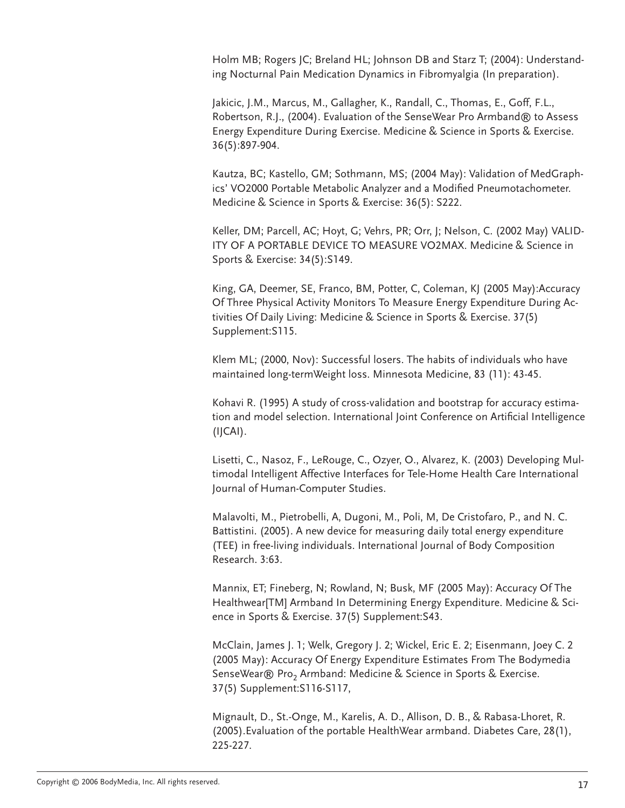Holm MB; Rogers JC; Breland HL; Johnson DB and Starz T; (2004): Understanding Nocturnal Pain Medication Dynamics in Fibromyalgia (In preparation).

Jakicic, J.M., Marcus, M., Gallagher, K., Randall, C., Thomas, E., Goff, F.L., Robertson, R.J., (2004). Evaluation of the SenseWear Pro Armband® to Assess Energy Expenditure During Exercise. Medicine & Science in Sports & Exercise. 36(5):897-904.

Kautza, BC; Kastello, GM; Sothmann, MS; (2004 May): Validation of MedGraphics' VO2000 Portable Metabolic Analyzer and a Modified Pneumotachometer. Medicine & Science in Sports & Exercise: 36(5): S222.

Keller, DM; Parcell, AC; Hoyt, G; Vehrs, PR; Orr, J; Nelson, C. (2002 May) VALID-ITY OF A PORTABLE DEVICE TO MEASURE VO2MAX. Medicine & Science in Sports & Exercise: 34(5):S149.

King, GA, Deemer, SE, Franco, BM, Potter, C, Coleman, KJ (2005 May):Accuracy Of Three Physical Activity Monitors To Measure Energy Expenditure During Activities Of Daily Living: Medicine & Science in Sports & Exercise. 37(5) Supplement:S115.

Klem ML; (2000, Nov): Successful losers. The habits of individuals who have maintained long-termWeight loss. Minnesota Medicine, 83 (11): 43-45.

Kohavi R. (1995) A study of cross-validation and bootstrap for accuracy estimation and model selection. International Joint Conference on Artificial Intelligence (IJCAI).

Lisetti, C., Nasoz, F., LeRouge, C., Ozyer, O., Alvarez, K. (2003) Developing Multimodal Intelligent Affective Interfaces for Tele-Home Health Care International Journal of Human-Computer Studies.

Malavolti, M., Pietrobelli, A, Dugoni, M., Poli, M, De Cristofaro, P., and N. C. Battistini. (2005). A new device for measuring daily total energy expenditure (TEE) in free-living individuals. International Journal of Body Composition Research. 3:63.

Mannix, ET; Fineberg, N; Rowland, N; Busk, MF (2005 May): Accuracy Of The Healthwear[TM] Armband In Determining Energy Expenditure. Medicine & Science in Sports & Exercise. 37(5) Supplement:S43.

McClain, James J. 1; Welk, Gregory J. 2; Wickel, Eric E. 2; Eisenmann, Joey C. 2 (2005 May): Accuracy Of Energy Expenditure Estimates From The Bodymedia SenseWear® Pro<sub>2</sub> Armband: Medicine & Science in Sports & Exercise. 37(5) Supplement:S116-S117,

Mignault, D., St.-Onge, M., Karelis, A. D., Allison, D. B., & Rabasa-Lhoret, R. (2005).Evaluation of the portable HealthWear armband. Diabetes Care, 28(1), 225-227.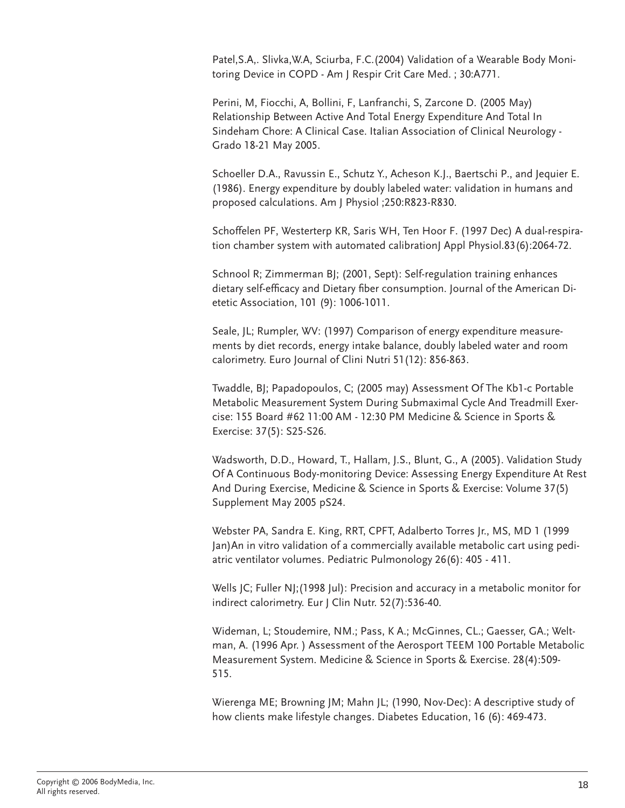Patel,S.A,. Slivka,W.A, Sciurba, F.C.(2004) Validation of a Wearable Body Monitoring Device in COPD - Am J Respir Crit Care Med. ; 30:A771.

Perini, M, Fiocchi, A, Bollini, F, Lanfranchi, S, Zarcone D. (2005 May) Relationship Between Active And Total Energy Expenditure And Total In Sindeham Chore: A Clinical Case. Italian Association of Clinical Neurology - Grado 18-21 May 2005.

Schoeller D.A., Ravussin E., Schutz Y., Acheson K.J., Baertschi P., and Jequier E. (1986). Energy expenditure by doubly labeled water: validation in humans and proposed calculations. Am J Physiol ;250:R823-R830.

Schoffelen PF, Westerterp KR, Saris WH, Ten Hoor F. (1997 Dec) A dual-respiration chamber system with automated calibrationJ Appl Physiol.83(6):2064-72.

Schnool R; Zimmerman BJ; (2001, Sept): Self-regulation training enhances dietary self-efficacy and Dietary fiber consumption. Journal of the American Dietetic Association, 101 (9): 1006-1011.

Seale, JL; Rumpler, WV: (1997) Comparison of energy expenditure measurements by diet records, energy intake balance, doubly labeled water and room calorimetry. Euro Journal of Clini Nutri 51(12): 856-863.

Twaddle, BJ; Papadopoulos, C; (2005 may) Assessment Of The Kb1-c Portable Metabolic Measurement System During Submaximal Cycle And Treadmill Exercise: 155 Board #62 11:00 AM - 12:30 PM Medicine & Science in Sports & Exercise: 37(5): S25-S26.

Wadsworth, D.D., Howard, T., Hallam, J.S., Blunt, G., A (2005). Validation Study Of A Continuous Body-monitoring Device: Assessing Energy Expenditure At Rest And During Exercise, Medicine & Science in Sports & Exercise: Volume 37(5) Supplement May 2005 pS24.

Webster PA, Sandra E. King, RRT, CPFT, Adalberto Torres Jr., MS, MD 1 (1999 Jan)An in vitro validation of a commercially available metabolic cart using pediatric ventilator volumes. Pediatric Pulmonology 26(6): 405 - 411.

Wells JC; Fuller NJ;(1998 Jul): Precision and accuracy in a metabolic monitor for indirect calorimetry. Eur J Clin Nutr. 52(7):536-40.

Wideman, L; Stoudemire, NM.; Pass, K A.; McGinnes, CL.; Gaesser, GA.; Weltman, A. (1996 Apr. ) Assessment of the Aerosport TEEM 100 Portable Metabolic Measurement System. Medicine & Science in Sports & Exercise. 28(4):509- 515.

Wierenga ME; Browning JM; Mahn JL; (1990, Nov-Dec): A descriptive study of how clients make lifestyle changes. Diabetes Education, 16 (6): 469-473.